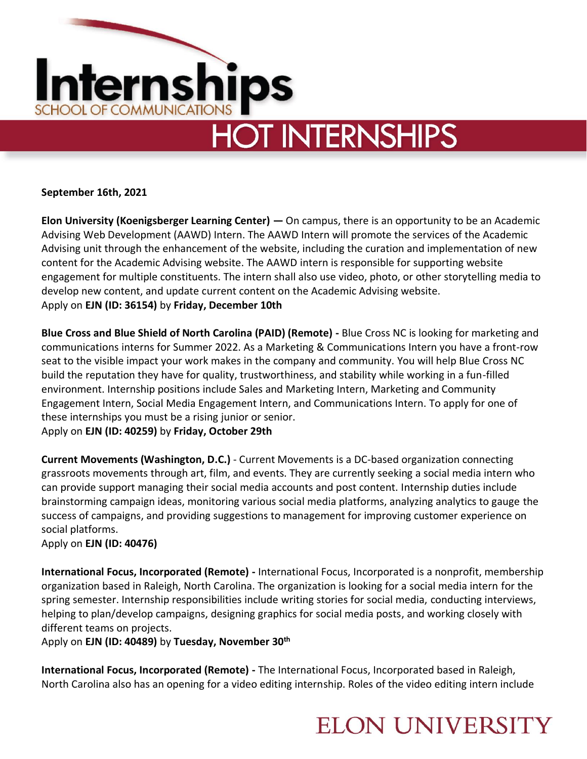

**September 16th, 2021**

**Elon University (Koenigsberger Learning Center) —** On campus, there is an opportunity to be an Academic Advising Web Development (AAWD) Intern. The AAWD Intern will promote the services of the Academic Advising unit through the enhancement of the website, including the curation and implementation of new content for the Academic Advising website. The AAWD intern is responsible for supporting website engagement for multiple constituents. The intern shall also use video, photo, or other storytelling media to develop new content, and update current content on the Academic Advising website. Apply on **EJN (ID: 36154)** by **Friday, December 10th**

**Blue Cross and Blue Shield of North Carolina (PAID) (Remote) -** Blue Cross NC is looking for marketing and communications interns for Summer 2022. As a Marketing & Communications Intern you have a front-row seat to the visible impact your work makes in the company and community. You will help Blue Cross NC build the reputation they have for quality, trustworthiness, and stability while working in a fun-filled environment. Internship positions include Sales and Marketing Intern, Marketing and Community Engagement Intern, Social Media Engagement Intern, and Communications Intern. To apply for one of these internships you must be a rising junior or senior.

Apply on **EJN (ID: 40259)** by **Friday, October 29th** 

**Current Movements (Washington, D.C.)** - Current Movements is a DC-based organization connecting grassroots movements through art, film, and events. They are currently seeking a social media intern who can provide support managing their social media accounts and post content. Internship duties include brainstorming campaign ideas, monitoring various social media platforms, analyzing analytics to gauge the success of campaigns, and providing suggestions to management for improving customer experience on social platforms.

Apply on **EJN (ID: 40476)** 

**International Focus, Incorporated (Remote) -** International Focus, Incorporated is a nonprofit, membership organization based in Raleigh, North Carolina. The organization is looking for a social media intern for the spring semester. Internship responsibilities include writing stories for social media, conducting interviews, helping to plan/develop campaigns, designing graphics for social media posts, and working closely with different teams on projects.

Apply on **EJN (ID: 40489)** by **Tuesday, November 30th**

**International Focus, Incorporated (Remote) -** The International Focus, Incorporated based in Raleigh, North Carolina also has an opening for a video editing internship. Roles of the video editing intern include

#### **ELON UNIVERSITY**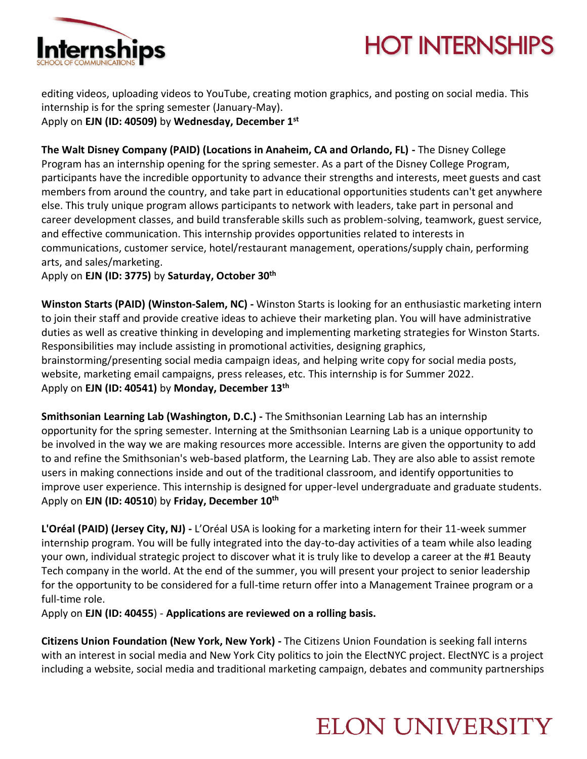

## **HOT INTERNSHIPS**

editing videos, uploading videos to YouTube, creating motion graphics, and posting on social media. This internship is for the spring semester (January-May). Apply on **EJN (ID: 40509)** by **Wednesday, December 1st**

**The Walt Disney Company (PAID) (Locations in Anaheim, CA and Orlando, FL) -** The Disney College Program has an internship opening for the spring semester. As a part of the Disney College Program, participants have the incredible opportunity to advance their strengths and interests, meet guests and cast members from around the country, and take part in educational opportunities students can't get anywhere else. This truly unique program allows participants to network with leaders, take part in personal and career development classes, and build transferable skills such as problem-solving, teamwork, guest service, and effective communication. This internship provides opportunities related to interests in communications, customer service, hotel/restaurant management, operations/supply chain, performing arts, and sales/marketing.

Apply on **EJN (ID: 3775)** by **Saturday, October 30th**

**Winston Starts (PAID) (Winston-Salem, NC) -** Winston Starts is looking for an enthusiastic marketing intern to join their staff and provide creative ideas to achieve their marketing plan. You will have administrative duties as well as creative thinking in developing and implementing marketing strategies for Winston Starts. Responsibilities may include assisting in promotional activities, designing graphics, brainstorming/presenting social media campaign ideas, and helping write copy for social media posts, website, marketing email campaigns, press releases, etc. This internship is for Summer 2022. Apply on **EJN (ID: 40541)** by **Monday, December 13th**

**Smithsonian Learning Lab (Washington, D.C.) -** The Smithsonian Learning Lab has an internship opportunity for the spring semester. Interning at the Smithsonian Learning Lab is a unique opportunity to be involved in the way we are making resources more accessible. Interns are given the opportunity to add to and refine the Smithsonian's web-based platform, the Learning Lab. They are also able to assist remote users in making connections inside and out of the traditional classroom, and identify opportunities to improve user experience. This internship is designed for upper-level undergraduate and graduate students. Apply on **EJN (ID: 40510**) by **Friday, December 10th**

**L'Oréal (PAID) (Jersey City, NJ) -** L'Oréal USA is looking for a marketing intern for their 11-week summer internship program. You will be fully integrated into the day-to-day activities of a team while also leading your own, individual strategic project to discover what it is truly like to develop a career at the #1 Beauty Tech company in the world. At the end of the summer, you will present your project to senior leadership for the opportunity to be considered for a full-time return offer into a Management Trainee program or a full-time role.

Apply on **EJN (ID: 40455**) - **Applications are reviewed on a rolling basis.**

**Citizens Union Foundation (New York, New York) -** The Citizens Union Foundation is seeking fall interns with an interest in social media and New York City politics to join the ElectNYC project. ElectNYC is a project including a website, social media and traditional marketing campaign, debates and community partnerships

## **ELON UNIVERSITY**